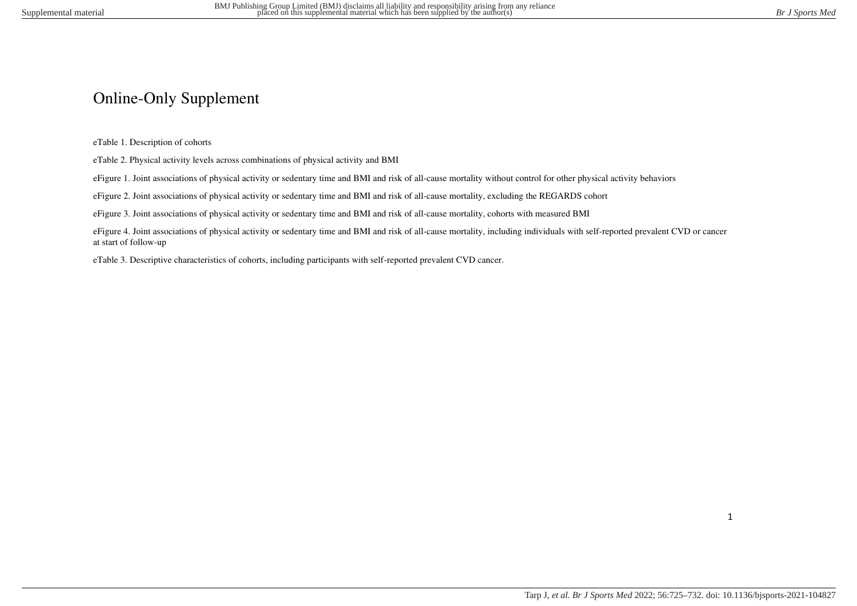# Online-Only Supplement

eTable 1. Description of cohorts

eTable 2. Physical activity levels across combinations of physical activity and BMI

eFigure 1. Joint associations of physical activity or sedentary time and BMI and risk of all-cause mortality without control for other physical activity behaviors

eFigure 2. Joint associations of physical activity or sedentary time and BMI and risk of all-cause mortality, excluding the REGARDS cohort

eFigure 3. Joint associations of physical activity or sedentary time and BMI and risk of all-cause mortality, cohorts with measured BMI

eFigure 4. Joint associations of physical activity or sedentary time and BMI and risk of all-cause mortality, including individuals with self-reported prevalent CVD or cancer at start of follow-up

eTable 3. Descriptive characteristics of cohorts, including participants with self-reported prevalent CVD cancer.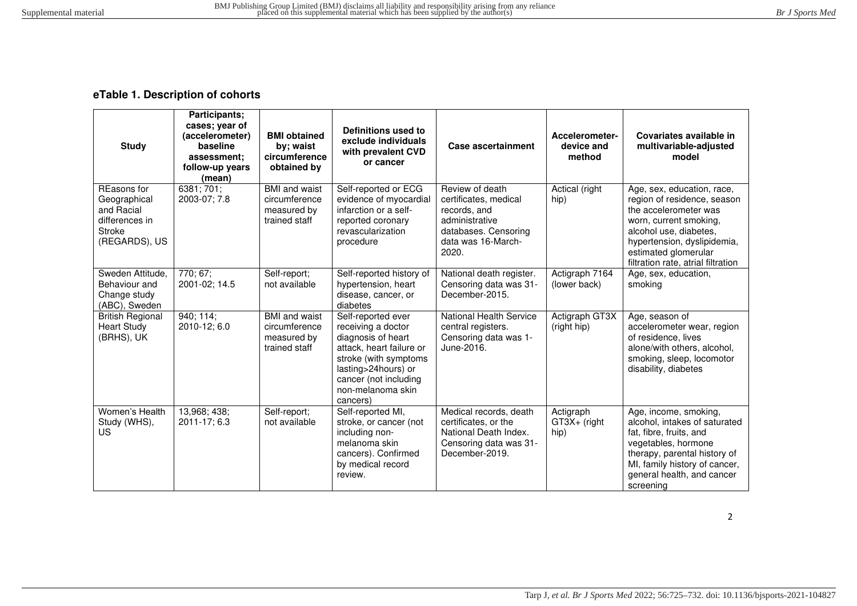# **eTable 1. Description of cohorts**

| <b>Study</b>                                                                                  | Participants;<br>cases; year of<br>(accelerometer)<br>baseline<br>assessment:<br>follow-up years<br>(mean) | <b>BMI</b> obtained<br>by; waist<br>circumference<br>obtained by      | Definitions used to<br>exclude individuals<br>with prevalent CVD<br>or cancer                                                                                                                        | <b>Case ascertainment</b>                                                                                                         | Accelerometer-<br>device and<br>method | Covariates available in<br>multivariable-adjusted<br>model                                                                                                                                                                          |
|-----------------------------------------------------------------------------------------------|------------------------------------------------------------------------------------------------------------|-----------------------------------------------------------------------|------------------------------------------------------------------------------------------------------------------------------------------------------------------------------------------------------|-----------------------------------------------------------------------------------------------------------------------------------|----------------------------------------|-------------------------------------------------------------------------------------------------------------------------------------------------------------------------------------------------------------------------------------|
| REasons for<br>Geographical<br>and Racial<br>differences in<br><b>Stroke</b><br>(REGARDS), US | 6381;701;<br>2003-07; 7.8                                                                                  | <b>BMI</b> and waist<br>circumference<br>measured by<br>trained staff | Self-reported or ECG<br>evidence of myocardial<br>infarction or a self-<br>reported coronary<br>revascularization<br>procedure                                                                       | Review of death<br>certificates, medical<br>records, and<br>administrative<br>databases. Censoring<br>data was 16-March-<br>2020. | Actical (right<br>hip)                 | Age, sex, education, race,<br>region of residence, season<br>the accelerometer was<br>worn, current smoking,<br>alcohol use, diabetes,<br>hypertension, dyslipidemia,<br>estimated glomerular<br>filtration rate, atrial filtration |
| Sweden Attitude,<br>Behaviour and<br>Change study<br>(ABC), Sweden                            | 770; 67;<br>2001-02; 14.5                                                                                  | Self-report;<br>not available                                         | Self-reported history of<br>hypertension, heart<br>disease, cancer, or<br>diabetes                                                                                                                   | National death register.<br>Censoring data was 31-<br>December-2015.                                                              | Actigraph 7164<br>(lower back)         | Age, sex, education,<br>smoking                                                                                                                                                                                                     |
| <b>British Regional</b><br><b>Heart Study</b><br>(BRHS), UK                                   | 940; 114;<br>2010-12; 6.0                                                                                  | <b>BMI</b> and waist<br>circumference<br>measured by<br>trained staff | Self-reported ever<br>receiving a doctor<br>diagnosis of heart<br>attack, heart failure or<br>stroke (with symptoms<br>lasting>24hours) or<br>cancer (not including<br>non-melanoma skin<br>cancers) | <b>National Health Service</b><br>central registers.<br>Censoring data was 1-<br>June-2016.                                       | Actigraph GT3X<br>(right hip)          | Age, season of<br>accelerometer wear, region<br>of residence, lives<br>alone/with others, alcohol,<br>smoking, sleep, locomotor<br>disability, diabetes                                                                             |
| Women's Health<br>Study (WHS),<br><b>US</b>                                                   | 13,968; 438;<br>2011-17; 6.3                                                                               | Self-report;<br>not available                                         | Self-reported MI,<br>stroke, or cancer (not<br>including non-<br>melanoma skin<br>cancers). Confirmed<br>by medical record<br>review.                                                                | Medical records, death<br>certificates, or the<br>National Death Index.<br>Censoring data was 31-<br>December-2019.               | Actigraph<br>GT3X+ (right<br>hip)      | Age, income, smoking,<br>alcohol, intakes of saturated<br>fat, fibre, fruits, and<br>vegetables, hormone<br>therapy, parental history of<br>MI, family history of cancer,<br>general health, and cancer<br>screening                |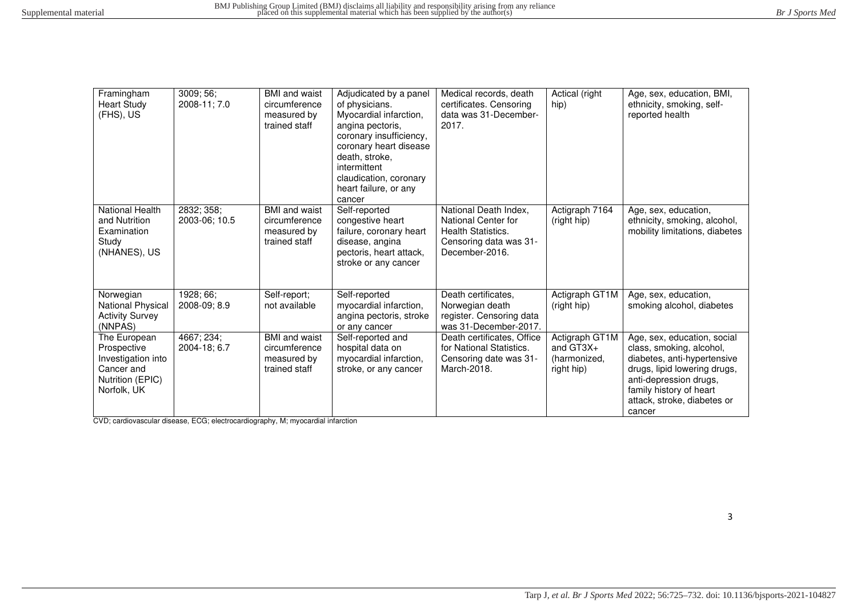| Framingham<br><b>Heart Study</b><br>(FHS), US                                                      | 3009; 56;<br>2008-11; 7.0   | <b>BMI</b> and waist<br>circumference<br>measured by<br>trained staff | Adjudicated by a panel<br>of physicians.<br>Myocardial infarction,<br>angina pectoris,<br>coronary insufficiency,<br>coronary heart disease<br>death, stroke,<br>intermittent<br>claudication, coronary<br>heart failure, or any<br>cancer | Medical records, death<br>certificates. Censoring<br>data was 31-December-<br>2017.                            | Actical (right<br>hip)                                      | Age, sex, education, BMI,<br>ethnicity, smoking, self-<br>reported health                                                                                                                                            |
|----------------------------------------------------------------------------------------------------|-----------------------------|-----------------------------------------------------------------------|--------------------------------------------------------------------------------------------------------------------------------------------------------------------------------------------------------------------------------------------|----------------------------------------------------------------------------------------------------------------|-------------------------------------------------------------|----------------------------------------------------------------------------------------------------------------------------------------------------------------------------------------------------------------------|
| National Health<br>and Nutrition<br>Examination<br>Study<br>(NHANES), US                           | 2832; 358;<br>2003-06; 10.5 | <b>BMI</b> and waist<br>circumference<br>measured by<br>trained staff | Self-reported<br>congestive heart<br>failure, coronary heart<br>disease, angina<br>pectoris, heart attack,<br>stroke or any cancer                                                                                                         | National Death Index,<br>National Center for<br>Health Statistics.<br>Censoring data was 31-<br>December-2016. | Actigraph 7164<br>(right hip)                               | Age, sex, education,<br>ethnicity, smoking, alcohol,<br>mobility limitations, diabetes                                                                                                                               |
| Norwegian<br>National Physical<br><b>Activity Survey</b><br>(NNPAS)                                | 1928; 66;<br>2008-09; 8.9   | Self-report;<br>not available                                         | Self-reported<br>myocardial infarction,<br>angina pectoris, stroke<br>or any cancer                                                                                                                                                        | Death certificates,<br>Norwegian death<br>register. Censoring data<br>was 31-December-2017.                    | Actigraph GT1M<br>(right hip)                               | Age, sex, education,<br>smoking alcohol, diabetes                                                                                                                                                                    |
| The European<br>Prospective<br>Investigation into<br>Cancer and<br>Nutrition (EPIC)<br>Norfolk, UK | 4667; 234;<br>2004-18; 6.7  | <b>BMI</b> and waist<br>circumference<br>measured by<br>trained staff | Self-reported and<br>hospital data on<br>myocardial infarction,<br>stroke, or any cancer                                                                                                                                                   | Death certificates, Office<br>for National Statistics.<br>Censoring date was 31-<br>March-2018.                | Actigraph GT1M<br>and $GT3X+$<br>(harmonized,<br>right hip) | Age, sex, education, social<br>class, smoking, alcohol,<br>diabetes, anti-hypertensive<br>drugs, lipid lowering drugs,<br>anti-depression drugs,<br>family history of heart<br>attack, stroke, diabetes or<br>cancer |

CVD; cardiovascular disease, ECG; electrocardiography, M; myocardial infarction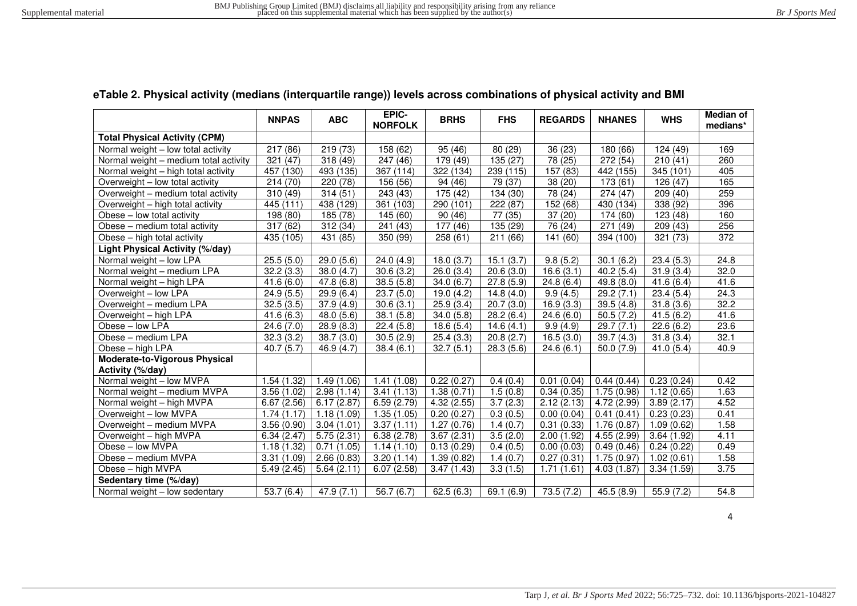## **eTable 2. Physical activity (medians (interquartile range)) levels across combinations of physical activity and BMI**

|                                        | <b>NNPAS</b>            | <b>ABC</b> | EPIC-<br><b>NORFOLK</b> | <b>BRHS</b>              | <b>FHS</b> | <b>REGARDS</b>         | <b>NHANES</b>            | <b>WHS</b> | <b>Median of</b><br>medians* |
|----------------------------------------|-------------------------|------------|-------------------------|--------------------------|------------|------------------------|--------------------------|------------|------------------------------|
| <b>Total Physical Activity (CPM)</b>   |                         |            |                         |                          |            |                        |                          |            |                              |
| Normal weight - low total activity     | 217 (86)                | 219 (73)   | 158 (62)                | 95 (46)                  | 80 (29)    | 36 (23)                | 180 (66)                 | 124 (49)   | 169                          |
| Normal weight - medium total activity  | 321 (47)                | 318 (49)   | $\overline{247}$ (46)   | $\overline{179}$ (49)    | 135 (27)   | 78 (25)                | 272 (54)                 | 210(41)    | 260                          |
| Normal weight - high total activity    | 457 (130)               | 493 (135)  | 367 (114)               | 322 (134)                | 239 (115)  | 157 (83)               | 442 (155)                | 345 (101)  | 405                          |
| Overweight - low total activity        | 214(70)                 | 220 (78)   | 156 (56)                | 94 (46)                  | 79 (37)    | 38 (20)                | 173 (61)                 | 126 (47)   | 165                          |
| Overweight - medium total activity     | 310(49)                 | 314(51)    | 243 (43)                | 175 (42)                 | 134 (30)   | 78 (24)                | 274 (47)                 | 209(40)    | 259                          |
| Overweight - high total activity       | 445 (111)               | 438 (129)  | 361 (103)               | 290 (101)                | 222 (87)   | 152 (68)               | 430 (134)                | 338 (92)   | 396                          |
| Obese - low total activity             | 198 (80)                | 185 (78)   | 145 (60)                | 90(46)                   | 77 (35)    | 37(20)                 | 174 (60)                 | 123 (48)   | 160                          |
| Obese - medium total activity          | 317(62)                 | 312 (34)   | 241 (43)                | 177(46)                  | 135(29)    | $\overline{76}$ (24)   | $\overline{271}$<br>(49) | 209 (43)   | 256                          |
| Obese – high total activity            | 435 (105)               | 431 (85)   | 350 (99)                | 258(61)                  | 211(66)    | 141 (60)               | 394 (100)                | 321 (73)   | 372                          |
| <b>Light Physical Activity (%/day)</b> |                         |            |                         |                          |            |                        |                          |            |                              |
| Normal weight - low LPA                | 25.5(5.0)               | 29.0(5.6)  | 24.0(4.9)               | 18.0(3.7)                | 15.1(3.7)  | 9.8(5.2)               | 30.1(6.2)                | 23.4(5.3)  | 24.8                         |
| Normal weight - medium LPA             | 32.2(3.3)               | 38.0(4.7)  | 30.6(3.2)               | 26.0(3.4)                | 20.6(3.0)  | 16.6(3.1)              | 40.2(5.4)                | 31.9(3.4)  | 32.0                         |
| Normal weight - high LPA               | 41.6(6.0)               | 47.8(6.8)  | 38.5(5.8)               | 34.0(6.7)                | 27.8(5.9)  | 24.8(6.4)              | 49.8(8.0)                | 41.6(6.4)  | 41.6                         |
| Overweight - low LPA                   | 24.9(5.5)               | 29.9(6.4)  | 23.7(5.0)               | 19.0(4.2)                | 14.8(4.0)  | $\overline{9.9}$ (4.5) | 29.2(7.1)                | 23.4(5.4)  | $\overline{24.3}$            |
| Overweight - medium LPA                | 32.5(3.5)               | 37.9(4.9)  | 30.6(3.1)               | 25.9(3.4)                | 20.7(3.0)  | 16.9(3.3)              | 39.5(4.8)                | 31.8(3.6)  | 32.2                         |
| Overweight - high LPA                  | 41.6(6.3)               | 48.0(5.6)  | 38.1(5.8)               | $\overline{34.0}$ (5.8)  | 28.2(6.4)  | 24.6(6.0)              | 50.5(7.2)                | 41.5(6.2)  | 41.6                         |
| Obese - low LPA                        | 24.6(7.0)               | 28.9(8.3)  | 22.4(5.8)               | 18.6(5.4)                | 14.6(4.1)  | 9.9(4.9)               | 29.7(7.1)                | 22.6(6.2)  | 23.6                         |
| Obese - medium LPA                     | 32.3(3.2)               | 38.7(3.0)  | 30.5(2.9)               | 25.4(3.3)                | 20.8(2.7)  | 16.5(3.0)              | 39.7(4.3)                | 31.8(3.4)  | 32.1                         |
| Obese - high LPA                       | 40.7(5.7)               | 46.9(4.7)  | 38.4(6.1)               | 32.7(5.1)                | 28.3(5.6)  | 24.6(6.1)              | 50.0(7.9)                | 41.0(5.4)  | 40.9                         |
| <b>Moderate-to-Vigorous Physical</b>   |                         |            |                         |                          |            |                        |                          |            |                              |
| Activity (%/day)                       |                         |            |                         |                          |            |                        |                          |            |                              |
| Normal weight - low MVPA               | 1.54 (1.32)             | 1.49(1.06) | 1.41(1.08)              | 0.22(0.27)               | 0.4(0.4)   | 0.01(0.04)             | 0.44(0.44)               | 0.23(0.24) | 0.42                         |
| Normal weight - medium MVPA            | 3.56(1.02)              | 2.98(1.14) | 3.41(1.13)              | $\overline{1.38}$ (0.71) | 1.5(0.8)   | 0.34(0.35)             | $\overline{1.75}$ (0.98) | 1.12(0.65) | 1.63                         |
| Normal weight - high MVPA              | 6.67(2.56)              | 6.17(2.87) | 6.59(2.79)              | 4.32(2.55)               | 3.7(2.3)   | 2.12(2.13)             | 4.72 (2.99)              | 3.89(2.17) | 4.52                         |
| Overweight - low MVPA                  | 1.74(1.17)              | 1.18(1.09) | 1.35(1.05)              | 0.20(0.27)               | 0.3(0.5)   | 0.00(0.04)             | 0.41(0.41)               | 0.23(0.23) | 0.41                         |
| Overweight - medium MVPA               | 3.56(0.90)              | 3.04(1.01) | $\overline{3.37(1.11)}$ | 1.27(0.76)               | 1.4(0.7)   | 0.31(0.33)             | 1.76(0.87)               | 1.09(0.62) | 1.58                         |
| Overweight - high MVPA                 | 6.34(2.47)              | 5.75(2.31) | 6.38(2.78)              | 3.67(2.31)               | 3.5(2.0)   | 2.00(1.92)             | 4.55 (2.99)              | 3.64(1.92) | 4.11                         |
| Obese - low MVPA                       | 1.18(1.32)              | 0.71(1.05) | 1.14(1.10)              | 0.13(0.29)               | 0.4(0.5)   | 0.00(0.03)             | 0.49(0.46)               | 0.24(0.22) | 0.49                         |
| Obese - medium MVPA                    | 3.31(1.09)              | 2.66(0.83) | 3.20(1.14)              | 1.39(0.82)               | 1.4(0.7)   | 0.27(0.31)             | 1.75(0.97)               | 1.02(0.61) | 1.58                         |
| Obese - high MVPA                      | 5.49(2.45)              | 5.64(2.11) | 6.07(2.58)              | 3.47(1.43)               | 3.3(1.5)   | 1.71(1.61)             | 4.03(1.87)               | 3.34(1.59) | 3.75                         |
| Sedentary time (%/day)                 |                         |            |                         |                          |            |                        |                          |            |                              |
| Normal weight - low sedentary          | $\overline{53.7}$ (6.4) | 47.9(7.1)  | 56.7(6.7)               | 62.5(6.3)                | 69.1(6.9)  | 73.5(7.2)              | 45.5(8.9)                | 55.9(7.2)  | 54.8                         |

4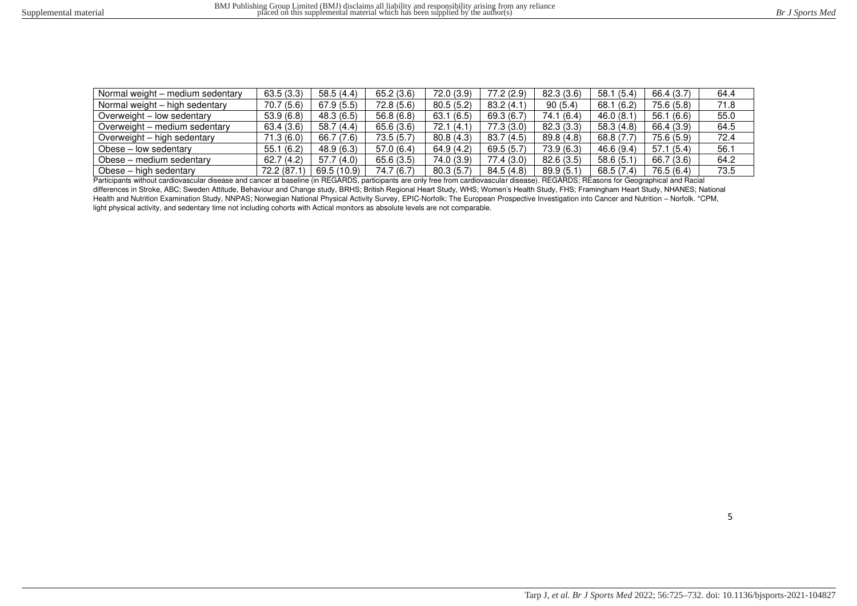| Normal weight - medium sedentary | 63.5(3.3)  | 58.5(4.4)   | 65.2(3.6)  | 72.0(3.9)  | 77.2(2.9)  | 82.3(3.6)  | 58.1(5.4)  | 66.4 (3.7) | 64.4 |
|----------------------------------|------------|-------------|------------|------------|------------|------------|------------|------------|------|
| Normal weight - high sedentary   | 70.7(5.6)  | 67.9(5.5)   | 72.8(5.6)  | 80.5(5.2)  | 83.2(4.1)  | 90(5.4)    | 68.1 (6.2) | 75.6 (5.8) | 71.8 |
| Overweight - low sedentary       | 53.9(6.8)  | 48.3 (6.5)  | 56.8(6.8)  | 63.1(6.5)  | 69.3(6.7)  | 74.1 (6.4) | 46.0(8.1)  | 56.1 (6.6) | 55.0 |
| Overweight – medium sedentary    | 63.4(3.6)  | 58.7(4.4)   | 65.6 (3.6) | 72.1(4.1)  | 77.3 (3.0) | 82.3(3.3)  | 58.3 (4.8) | 66.4 (3.9) | 64.5 |
| Overweight – high sedentary      | 71.3(6.0)  | 66.7 (7.6)  | 73.5(5.7)  | 80.8(4.3)  | 83.7(4.5)  | 89.8(4.8)  | 68.8 (7.7) | 75.6 (5.9) | 72.4 |
| Obese – low sedentary            | 55.1(6.2)  | 48.9 (6.3)  | 57.0(6.4)  | 64.9(4.2)  | 69.5(5.7)  | 73.9(6.3)  | 46.6 (9.4) | 57.1(5.4)  | 56.1 |
| Obese – medium sedentary         | 62.7(4.2)  | 57.7(4.0)   | 65.6(3.5)  | 74.0 (3.9) | 77.4 (3.0) | 82.6(3.5)  | 58.6 (5.1) | 66.7 (3.6) | 64.2 |
| Obese – high sedentary           | 72.2 (87.1 | 69.5 (10.9) | 74.7 (6.7) | 80.3(5.7)  | 84.5(4.8)  | 89.9(5.1)  | 68.5 (7.4) | 76.5 (6.4) | 73.5 |

Participants without cardiovascular disease and cancer at baseline (in REGARDS, participants are only free from cardiovascular disease). REGARDS; REasons for Geographical and Racial differences in Stroke, ABC; Sweden Attitude, Behaviour and Change study, BRHS; British Regional Heart Study, WHS; Women's Health Study, FHS; Framingham Heart Study, NHANES; National Health and Nutrition Examination Study, NNPAS; Norwegian National Physical Activity Survey, EPIC-Norfolk; The European Prospective Investigation into Cancer and Nutrition – Norfolk. \*CPM, light physical activity, and sedentary time not including cohorts with Actical monitors as absolute levels are not comparable.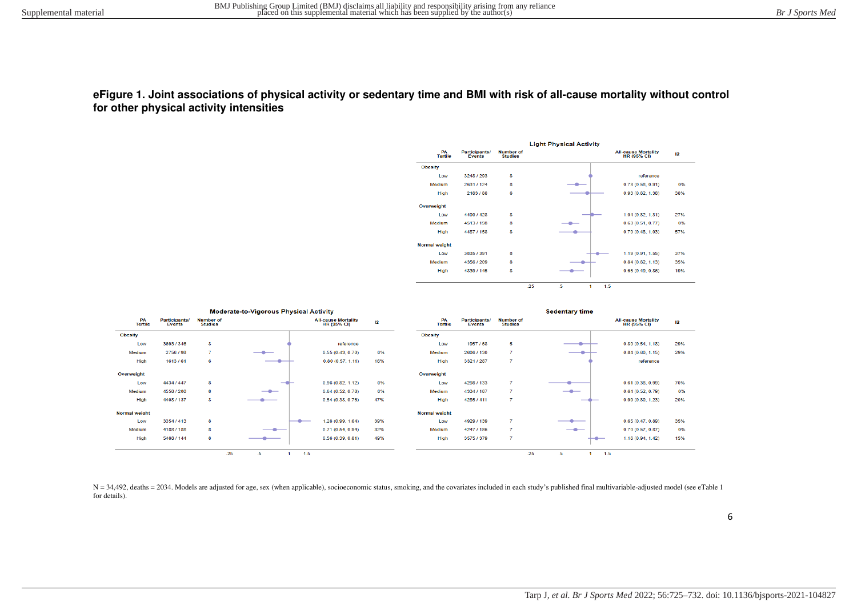#### **eFigure 1. Joint associations of physical activity or sedentary time and BMI with risk of all-cause mortality without control for other physical activity intensities**





N = 34,492, deaths = 2034. Models are adjusted for age, sex (when applicable), socioeconomic status, smoking, and the covariates included in each study's published final multivariable-adjusted model (see eTable 1 for details).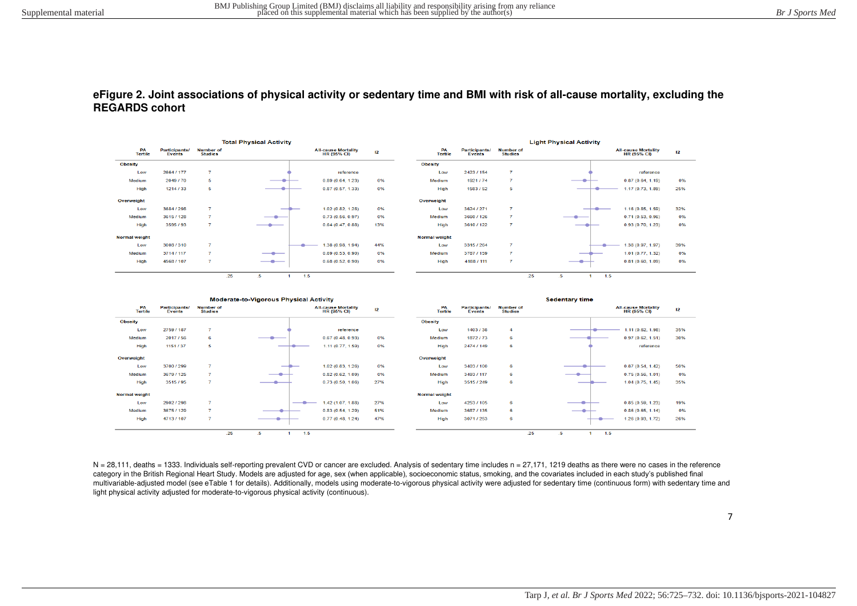### **eFigure 2. Joint associations of physical activity or sedentary time and BMI with risk of all-cause mortality, excluding the REGARDS cohort**





 $N = 28,111$ , deaths = 1333. Individuals self-reporting prevalent CVD or cancer are excluded. Analysis of sedentary time includes  $n = 27,171$ , 1219 deaths as there were no cases in the reference category in the British Regional Heart Study. Models are adjusted for age, sex (when applicable), socioeconomic status, smoking, and the covariates included in each study's published final multivariable-adjusted model (see eTable 1 for details). Additionally, models using moderate-to-vigorous physical activity were adjusted for sedentary time (continuous form) with sedentary time and light physical activity adjusted for moderate-to-vigorous physical activity (continuous).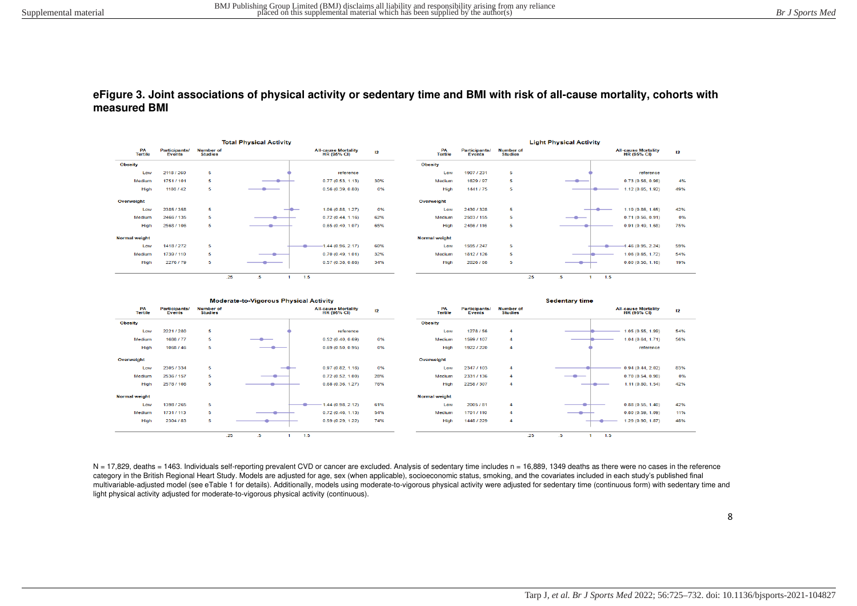#### **eFigure 3. Joint associations of physical activity or sedentary time and BMI with risk of all-cause mortality, cohorts with measured BMI**





 $N = 17.829$ , deaths = 1463. Individuals self-reporting prevalent CVD or cancer are excluded. Analysis of sedentary time includes n = 16,889, 1349 deaths as there were no cases in the reference category in the British Regional Heart Study. Models are adjusted for age, sex (when applicable), socioeconomic status, smoking, and the covariates included in each study's published final multivariable-adjusted model (see eTable 1 for details). Additionally, models using moderate-to-vigorous physical activity were adjusted for sedentary time (continuous form) with sedentary time and light physical activity adjusted for moderate-to-vigorous physical activity (continuous).

8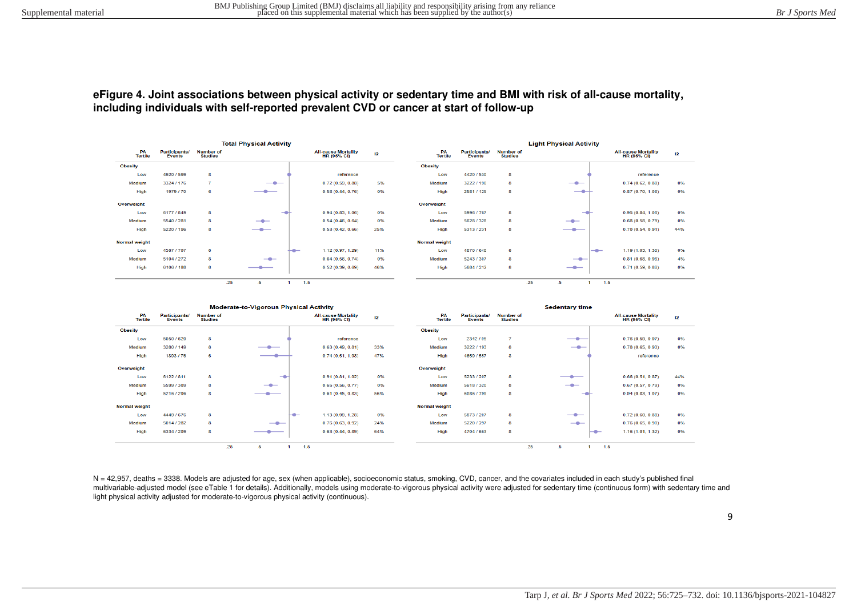#### **eFigure 4. Joint associations between physical activity or sedentary time and BMI with risk of all-cause mortality, including individuals with self-reported prevalent CVD or cancer at start of follow-up**



|                      |                                       |                                    | <b>Moderate-to-Vigorous Physical Activity</b> |                                                  |     |                      |                                       |                                    | <b>Sedentary time</b> |                                                  |     |
|----------------------|---------------------------------------|------------------------------------|-----------------------------------------------|--------------------------------------------------|-----|----------------------|---------------------------------------|------------------------------------|-----------------------|--------------------------------------------------|-----|
| PA<br><b>Tertile</b> | <b>Participants/</b><br><b>Events</b> | <b>Number of</b><br><b>Studies</b> |                                               | <b>All-cause Mortality</b><br><b>HR (95% CI)</b> | 12  | PA<br><b>Tertile</b> | <b>Participants/</b><br><b>Events</b> | <b>Number of</b><br><b>Studies</b> |                       | <b>All-cause Mortality</b><br><b>HR (95% CI)</b> | 12  |
| <b>Obesity</b>       |                                       |                                    |                                               |                                                  |     | <b>Obesity</b>       |                                       |                                    |                       |                                                  |     |
| Low                  | 5050 / 620                            | 8                                  |                                               | reference                                        |     | Low                  | 2342/95                               | z                                  |                       | 0.76(0.59, 0.97)                                 | 0%  |
| Medium               | 3280 / 149                            | 8.                                 | —                                             | 0.63(0.49, 0.81)                                 | 33% | <b>Medium</b>        | 3222 / 193                            | 8                                  | $\qquad \qquad -$     | 0.78(0.65, 0.93)                                 | 0%  |
| <b>High</b>          | 1893/76                               | 6                                  |                                               | 0.74(0.51, 1.08)                                 | 47% | High                 | 4659 / 557                            | 8                                  |                       | reference                                        |     |
| Overweight           |                                       |                                    |                                               |                                                  |     | Overweight           |                                       |                                    |                       |                                                  |     |
| Low                  | 6122 / 811                            | 8                                  | $\rightarrow$                                 | 0.91(0.81, 1.02)                                 | 0%  | Low                  | 5233 / 207                            | 8                                  | ——                    | 0.66(0.51, 0.87)                                 | 44% |
| Medium               | 5599 / 309                            | 8                                  | $-$                                           | 0.65(0.56, 0.77)                                 | 0%  | Medium               | 5618 / 320                            | 8                                  | $-$                   | 0.67(0.57, 0.79)                                 | 0%  |
| High                 | 5216 / 206                            | 8                                  |                                               | 0.61(0.45, 0.83)                                 | 56% | High                 | 6086 / 799                            | 8                                  |                       | 0.94(0.83, 1.07)                                 | 0%  |
| <b>Normal weight</b> |                                       |                                    |                                               |                                                  |     | <b>Normal weight</b> |                                       |                                    |                       |                                                  |     |
| Low                  | 4449 / 676                            | 8                                  | ⊢⊕–                                           | 1.13(0.99, 1.28)                                 | 0%  | Low                  | 5873/207                              | 8                                  | $-$                   | 0.72(0.60, 0.88)                                 | 0%  |
| Medium               | 5014 / 282                            | 8                                  | $-$                                           | 0.76(0.63, 0.92)                                 | 24% | Medium               | 5220 / 297                            | 8                                  | $-$                   | 0.76(0.65, 0.90)                                 | 0%  |
| High                 | 6334 / 209                            | 8                                  | __                                            | 0.63(0.44, 0.89)                                 | 64% | High                 | 4704 / 663                            | 8                                  |                       | 1.16(1.01, 1.32)                                 | 0%  |
|                      |                                       | .25                                | $.5\,$                                        | 1.5                                              |     |                      |                                       | .25                                | 1.5<br>.5             |                                                  |     |

N = 42,957, deaths = 3338. Models are adjusted for age, sex (when applicable), socioeconomic status, smoking, CVD, cancer, and the covariates included in each study's published final multivariable-adjusted model (see eTable 1 for details). Additionally, models using moderate-to-vigorous physical activity were adjusted for sedentary time (continuous form) with sedentary time and light physical activity adjusted for moderate-to-vigorous physical activity (continuous).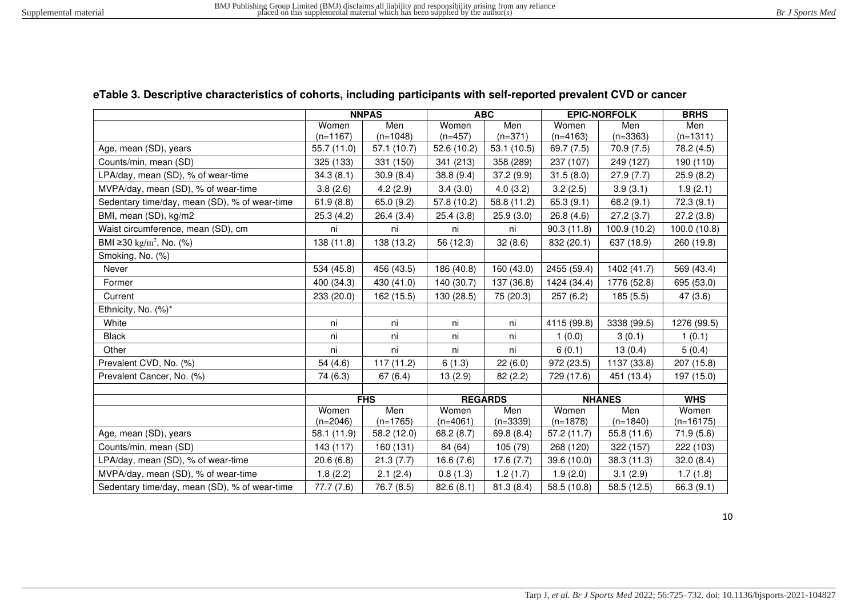# **eTable 3. Descriptive characteristics of cohorts, including participants with self-reported prevalent CVD or cancer**

|                                               | <b>NNPAS</b>      |                   |                     | <b>ABC</b>        |                     | <b>EPIC-NORFOLK</b> | <b>BRHS</b>          |
|-----------------------------------------------|-------------------|-------------------|---------------------|-------------------|---------------------|---------------------|----------------------|
|                                               | Women             | Men               | Women               | Men               | Women               | Men                 | Men                  |
|                                               | $(n=1167)$        | $(n=1048)$        | $(n=457)$           | $(n=371)$         | $(n=4163)$          | $(n=3363)$          | $(n=1311)$           |
| Age, mean (SD), years                         | 55.7 (11.0)       | 57.1 (10.7)       | 52.6 (10.2)         | 53.1(10.5)        | 69.7 (7.5)          | 70.9(7.5)           | 78.2 (4.5)           |
| Counts/min, mean (SD)                         | 325 (133)         | 331 (150)         | 341 (213)           | 358 (289)         | 237 (107)           | 249 (127)           | 190 (110)            |
| LPA/day, mean (SD), % of wear-time            | 34.3(8.1)         | 30.9(8.4)         | 38.8 (9.4)          | 37.2 (9.9)        | 31.5(8.0)           | 27.9(7.7)           | 25.9(8.2)            |
| MVPA/day, mean (SD), % of wear-time           | 3.8(2.6)          | 4.2(2.9)          | 3.4(3.0)            | 4.0(3.2)          | 3.2(2.5)            | 3.9(3.1)            | 1.9(2.1)             |
| Sedentary time/day, mean (SD), % of wear-time | 61.9(8.8)         | 65.0 (9.2)        | 57.8 (10.2)         | 58.8 (11.2)       | 65.3(9.1)           | 68.2(9.1)           | 72.3(9.1)            |
| BMI, mean (SD), kg/m2                         | 25.3(4.2)         | 26.4(3.4)         | 25.4(3.8)           | 25.9(3.0)         | 26.8(4.6)           | 27.2(3.7)           | 27.2(3.8)            |
| Waist circumference, mean (SD), cm            | ni                | ni                | ni                  | ni                | 90.3(11.8)          | 100.9 (10.2)        | 100.0 (10.8)         |
| BMI ≥30 kg/m <sup>2</sup> , No. (%)           | 138 (11.8)        | 138 (13.2)        | 56 (12.3)           | 32(8.6)           | 832 (20.1)          | 637 (18.9)          | 260 (19.8)           |
| Smoking, No. (%)                              |                   |                   |                     |                   |                     |                     |                      |
| Never                                         | 534 (45.8)        | 456 (43.5)        | 186 (40.8)          | 160 (43.0)        | 2455 (59.4)         | 1402 (41.7)         | 569 (43.4)           |
| Former                                        | 400 (34.3)        | 430 (41.0)        | 140 (30.7)          | 137 (36.8)        | 1424 (34.4)         | 1776 (52.8)         | 695 (53.0)           |
| Current                                       | 233 (20.0)        | 162 (15.5)        | 130 (28.5)          | 75 (20.3)         | 257(6.2)            | 185 (5.5)           | 47(3.6)              |
| Ethnicity, No. (%)*                           |                   |                   |                     |                   |                     |                     |                      |
| White                                         | ni                | ni                | ni                  | ni                | 4115 (99.8)         | 3338 (99.5)         | 1276 (99.5)          |
| <b>Black</b>                                  | ni                | ni                | ni                  | ni                | 1(0.0)              | 3(0.1)              | 1(0.1)               |
| Other                                         | ni                | ni                | ni                  | ni                | 6(0.1)              | 13(0.4)             | 5(0.4)               |
| Prevalent CVD, No. (%)                        | 54 (4.6)          | 117(11.2)         | 6(1.3)              | 22(6.0)           | 972 (23.5)          | 1137 (33.8)         | 207 (15.8)           |
| Prevalent Cancer, No. (%)                     | 74 (6.3)          | 67(6.4)           | 13(2.9)             | 82(2.2)           | 729 (17.6)          | 451 (13.4)          | 197 (15.0)           |
|                                               |                   |                   |                     |                   |                     |                     |                      |
|                                               |                   | <b>FHS</b>        | <b>REGARDS</b>      |                   | <b>NHANES</b>       |                     | <b>WHS</b>           |
|                                               | Women<br>(n=2046) | Men<br>$(n=1765)$ | Women<br>$(n=4061)$ | Men<br>$(n=3339)$ | Women<br>$(n=1878)$ | Men<br>$(n=1840)$   | Women<br>$(n=16175)$ |
| Age, mean (SD), years                         | 58.1 (11.9)       | 58.2 (12.0)       | 68.2(8.7)           | 69.8(8.4)         | 57.2(11.7)          | 55.8 (11.6)         | 71.9(5.6)            |
| Counts/min, mean (SD)                         | 143 (117)         | 160 (131)         | 84 (64)             | 105 (79)          | 268 (120)           | 322 (157)           | 222 (103)            |
| LPA/day, mean (SD), % of wear-time            | 20.6(6.8)         | 21.3(7.7)         | 16.6(7.6)           | 17.6(7.7)         | 39.6(10.0)          | 38.3 (11.3)         | 32.0(8.4)            |
| MVPA/day, mean (SD), % of wear-time           | 1.8(2.2)          | 2.1(2.4)          | 0.8(1.3)            | 1.2(1.7)          | 1.9(2.0)            | 3.1(2.9)            | 1.7(1.8)             |
| Sedentary time/day, mean (SD), % of wear-time | 77.7 (7.6)        | 76.7 (8.5)        | 82.6(8.1)           | 81.3(8.4)         | 58.5 (10.8)         | 58.5 (12.5)         | 66.3 (9.1)           |

10